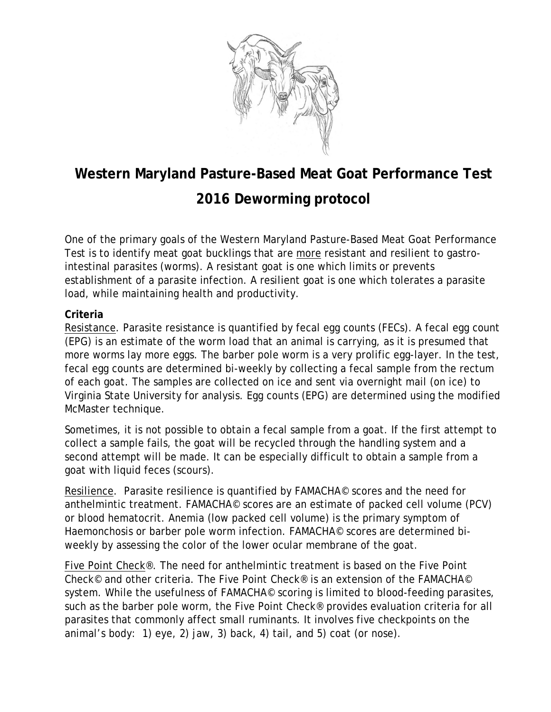

# **Western Maryland Pasture-Based Meat Goat Performance Test**

## **2016 Deworming protocol**

One of the primary goals of the Western Maryland Pasture-Based Meat Goat Performance Test is to identify meat goat bucklings that are more resistant and resilient to gastrointestinal parasites (worms). A resistant goat is one which limits or prevents establishment of a parasite infection. A resilient goat is one which tolerates a parasite load, while maintaining health and productivity.

#### **Criteria**

Resistance. Parasite resistance is quantified by fecal egg counts (FECs). A fecal egg count (EPG) is an estimate of the worm load that an animal is carrying, as it is presumed that more worms lay more eggs. The barber pole worm is a very prolific egg-layer. In the test, fecal egg counts are determined bi-weekly by collecting a fecal sample from the rectum of each goat. The samples are collected on ice and sent via overnight mail (on ice) to Virginia State University for analysis. Egg counts (EPG) are determined using the modified McMaster technique.

Sometimes, it is not possible to obtain a fecal sample from a goat. If the first attempt to collect a sample fails, the goat will be recycled through the handling system and a second attempt will be made. It can be especially difficult to obtain a sample from a goat with liquid feces (scours).

Resilience. Parasite resilience is quantified by FAMACHA© scores and the need for anthelmintic treatment. FAMACHA© scores are an estimate of packed cell volume (PCV) or blood hematocrit. Anemia (low packed cell volume) is the primary symptom of Haemonchosis or barber pole worm infection. FAMACHA© scores are determined biweekly by assessing the color of the lower ocular membrane of the goat.

Five Point Check®. The need for anthelmintic treatment is based on the Five Point Check© and other criteria. The Five Point Check® is an extension of the FAMACHA© system. While the usefulness of FAMACHA<sup>©</sup> scoring is limited to blood-feeding parasites, such as the barber pole worm, the Five Point Check® provides evaluation criteria for all parasites that commonly affect small ruminants. It involves five checkpoints on the animal's body: 1) eye, 2) jaw, 3) back, 4) tail, and 5) coat (or nose).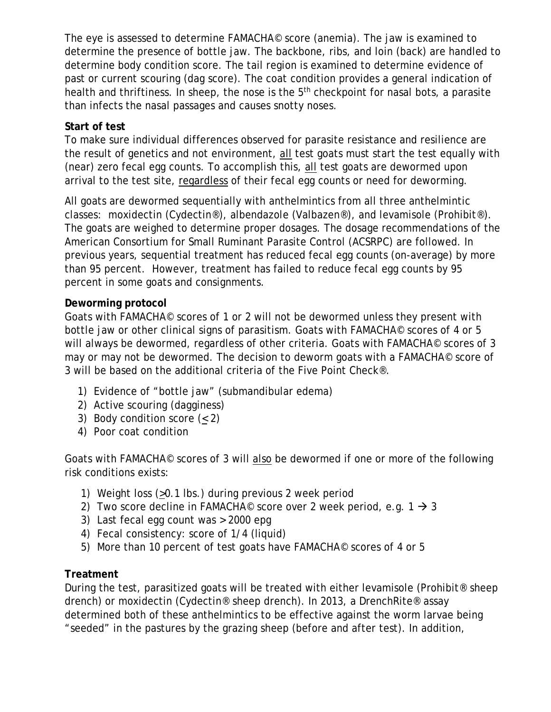The eye is assessed to determine FAMACHA© score (anemia). The jaw is examined to determine the presence of bottle jaw. The backbone, ribs, and loin (back) are handled to determine body condition score. The tail region is examined to determine evidence of past or current scouring (dag score). The coat condition provides a general indication of health and thriftiness. In sheep, the nose is the 5<sup>th</sup> checkpoint for nasal bots, a parasite than infects the nasal passages and causes snotty noses.

### **Start of test**

To make sure individual differences observed for parasite resistance and resilience are the result of genetics and not environment, all test goats must start the test equally with (near) zero fecal egg counts. To accomplish this, all test goats are dewormed upon arrival to the test site, regardless of their fecal egg counts or need for deworming.

All goats are dewormed sequentially with anthelmintics from all three anthelmintic classes: moxidectin (Cydectin®), albendazole (Valbazen®), and levamisole (Prohibit®). The goats are weighed to determine proper dosages. The dosage recommendations of the American Consortium for Small Ruminant Parasite Control (ACSRPC) are followed. In previous years, sequential treatment has reduced fecal egg counts (on-average) by more than 95 percent. However, treatment has failed to reduce fecal egg counts by 95 percent in some goats and consignments.

### **Deworming protocol**

Goats with FAMACHA© scores of 1 or 2 will not be dewormed unless they present with bottle jaw or other clinical signs of parasitism. Goats with FAMACHA© scores of 4 or 5 will always be dewormed, regardless of other criteria. Goats with FAMACHA<sup>©</sup> scores of 3 may or may not be dewormed. The decision to deworm goats with a FAMACHA© score of 3 will be based on the additional criteria of the Five Point Check®.

- 1) Evidence of "bottle jaw" (submandibular edema)
- 2) Active scouring (dagginess)
- 3) Body condition score (< 2)
- 4) Poor coat condition

Goats with FAMACHA© scores of 3 will also be dewormed if one or more of the following risk conditions exists:

- 1) Weight loss (>0.1 lbs.) during previous 2 week period
- 2) Two score decline in FAMACHA<sup>©</sup> score over 2 week period, e.g.  $1 \rightarrow 3$
- 3) Last fecal egg count was > 2000 epg
- 4) Fecal consistency: score of 1/4 (liquid)
- 5) More than 10 percent of test goats have FAMACHA<sup>©</sup> scores of 4 or 5

### **Treatment**

During the test, parasitized goats will be treated with either levamisole (Prohibit® sheep drench) or moxidectin (Cydectin® sheep drench). In 2013, a DrenchRite® assay determined both of these anthelmintics to be effective against the worm larvae being "seeded" in the pastures by the grazing sheep (before and after test). In addition,